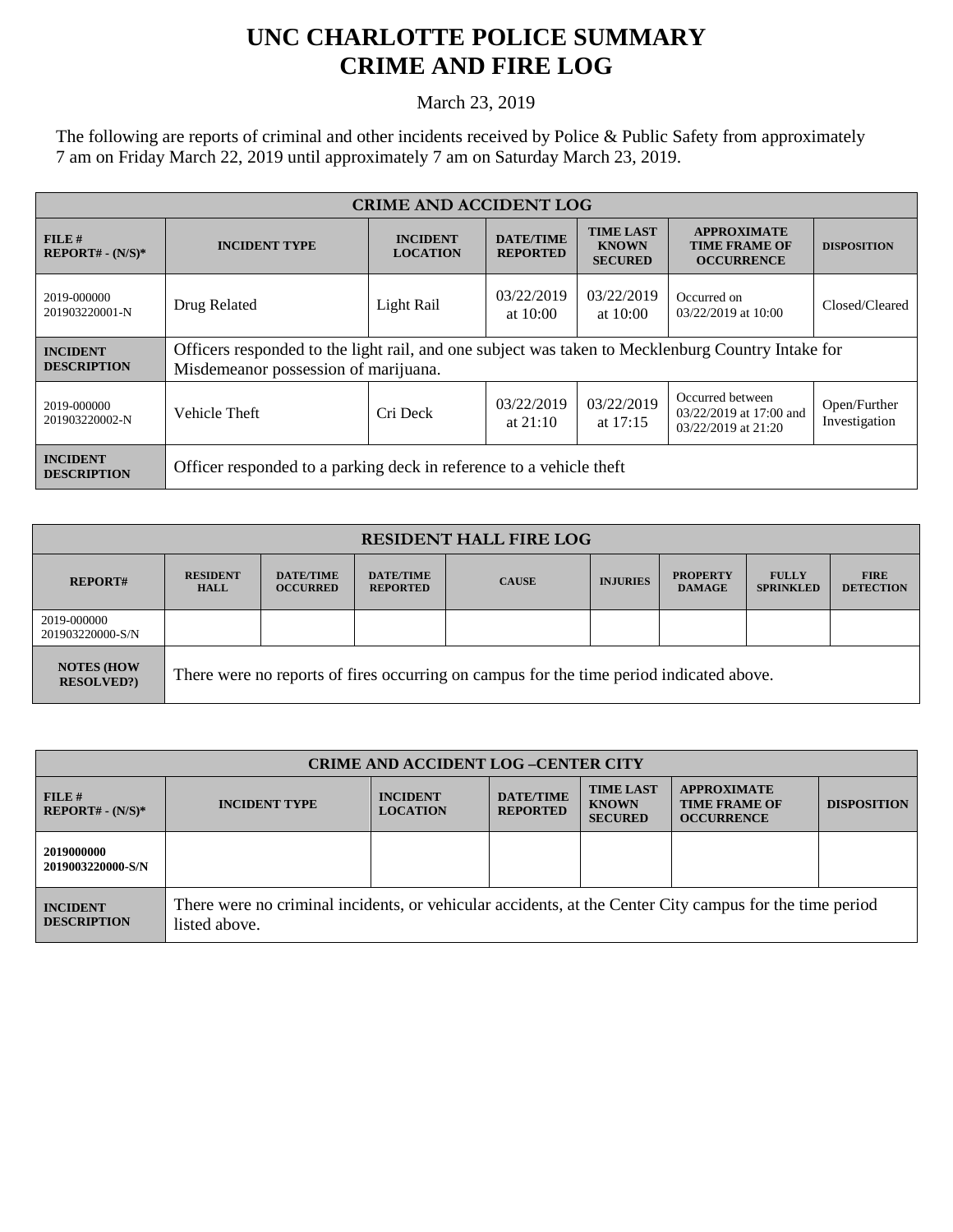## **UNC CHARLOTTE POLICE SUMMARY CRIME AND FIRE LOG**

March 23, 2019

The following are reports of criminal and other incidents received by Police & Public Safety from approximately 7 am on Friday March 22, 2019 until approximately 7 am on Saturday March 23, 2019.

| <b>CRIME AND ACCIDENT LOG</b>         |                                                                                                                                           |                                    |                                     |                                                    |                                                                    |                               |  |
|---------------------------------------|-------------------------------------------------------------------------------------------------------------------------------------------|------------------------------------|-------------------------------------|----------------------------------------------------|--------------------------------------------------------------------|-------------------------------|--|
| $FILE$ #<br>$REPORT# - (N/S)*$        | <b>INCIDENT TYPE</b>                                                                                                                      | <b>INCIDENT</b><br><b>LOCATION</b> | <b>DATE/TIME</b><br><b>REPORTED</b> | <b>TIME LAST</b><br><b>KNOWN</b><br><b>SECURED</b> | <b>APPROXIMATE</b><br><b>TIME FRAME OF</b><br><b>OCCURRENCE</b>    | <b>DISPOSITION</b>            |  |
| 2019-000000<br>201903220001-N         | Drug Related                                                                                                                              | Light Rail                         | 03/22/2019<br>at $10:00$            | 03/22/2019<br>at $10:00$                           | Occurred on<br>03/22/2019 at 10:00                                 | Closed/Cleared                |  |
| <b>INCIDENT</b><br><b>DESCRIPTION</b> | Officers responded to the light rail, and one subject was taken to Mecklenburg Country Intake for<br>Misdemeanor possession of marijuana. |                                    |                                     |                                                    |                                                                    |                               |  |
| 2019-000000<br>201903220002-N         | Vehicle Theft                                                                                                                             | Cri Deck                           | 03/22/2019<br>at $21:10$            | 03/22/2019<br>at $17:15$                           | Occurred between<br>03/22/2019 at 17:00 and<br>03/22/2019 at 21:20 | Open/Further<br>Investigation |  |
| <b>INCIDENT</b><br><b>DESCRIPTION</b> | Officer responded to a parking deck in reference to a vehicle theft                                                                       |                                    |                                     |                                                    |                                                                    |                               |  |

| <b>RESIDENT HALL FIRE LOG</b>         |                                                                                         |                                     |                                     |              |                 |                                  |                                  |                                 |
|---------------------------------------|-----------------------------------------------------------------------------------------|-------------------------------------|-------------------------------------|--------------|-----------------|----------------------------------|----------------------------------|---------------------------------|
| <b>REPORT#</b>                        | <b>RESIDENT</b><br><b>HALL</b>                                                          | <b>DATE/TIME</b><br><b>OCCURRED</b> | <b>DATE/TIME</b><br><b>REPORTED</b> | <b>CAUSE</b> | <b>INJURIES</b> | <b>PROPERTY</b><br><b>DAMAGE</b> | <b>FULLY</b><br><b>SPRINKLED</b> | <b>FIRE</b><br><b>DETECTION</b> |
| 2019-000000<br>201903220000-S/N       |                                                                                         |                                     |                                     |              |                 |                                  |                                  |                                 |
| <b>NOTES (HOW</b><br><b>RESOLVED?</b> | There were no reports of fires occurring on campus for the time period indicated above. |                                     |                                     |              |                 |                                  |                                  |                                 |

| <b>CRIME AND ACCIDENT LOG-CENTER CITY</b> |                                                                                                                          |                                    |                                     |                                                    |                                                                 |                    |  |
|-------------------------------------------|--------------------------------------------------------------------------------------------------------------------------|------------------------------------|-------------------------------------|----------------------------------------------------|-----------------------------------------------------------------|--------------------|--|
| FILE#<br>$REPORT# - (N/S)*$               | <b>INCIDENT TYPE</b>                                                                                                     | <b>INCIDENT</b><br><b>LOCATION</b> | <b>DATE/TIME</b><br><b>REPORTED</b> | <b>TIME LAST</b><br><b>KNOWN</b><br><b>SECURED</b> | <b>APPROXIMATE</b><br><b>TIME FRAME OF</b><br><b>OCCURRENCE</b> | <b>DISPOSITION</b> |  |
| 2019000000<br>2019003220000-S/N           |                                                                                                                          |                                    |                                     |                                                    |                                                                 |                    |  |
| <b>INCIDENT</b><br><b>DESCRIPTION</b>     | There were no criminal incidents, or vehicular accidents, at the Center City campus for the time period<br>listed above. |                                    |                                     |                                                    |                                                                 |                    |  |